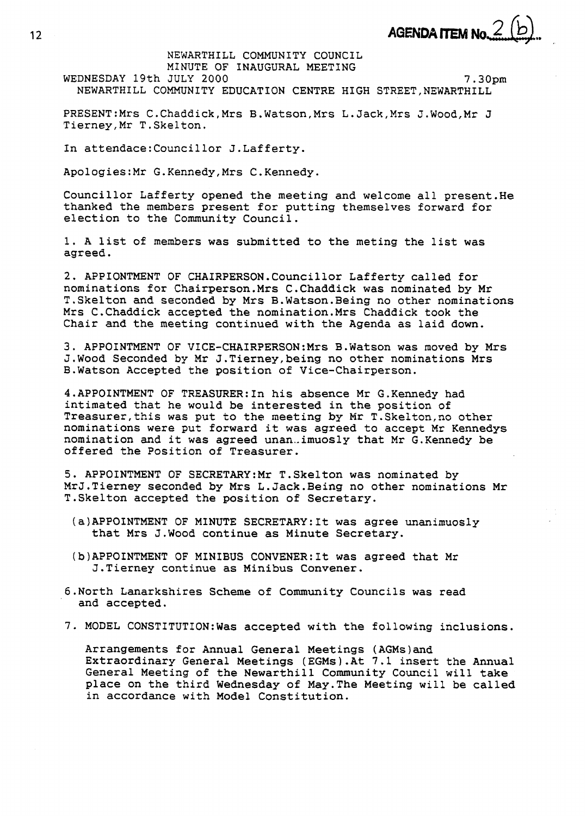NEWARTHILL COMMUNITY COUNCIL MINUTE OF INAUGURAL MEETING WEDNESDAY 19th JULY 2000 **7.30pm**  NEWARTHILL COMMUNITY EDUCATION CENTRE HIGH STREET, NEWARTHILL

PRESENT:Mrs C.Chaddick,Mrs B.Watson,Mrs L.Jack,Mrs J.Wood,Mr J Tierney,Mr T.Skelton.

In attendace:Councillor J.Lafferty.

Apo1ogies:Mr G.Kennedy,Mrs C.Kennedy.

Councillor Lafferty opened the meeting and welcome all present.He thanked the members present for putting themselves forward for election to the Community Council.

1. A list of members was submitted to the meting the list was agreed.

**2.** APPIONTMENT OF CHAIRPERSON.Councillor Lafferty called for nominations for Chairperson.Mrs C.Chaddick was nominated by Mr T.Skelton and seconded by Mrs B.Watson.Being no other nominations Mrs C.Chaddick accepted the nomination.Mrs Chaddick took the Chair and the meeting continued with the Agenda as laid down.

**3.** APPOINTMENT **OF** VICE-CHA1RPERSON:Mrs B.Watson was moved by Mrs J.Wood Seconded by Mr J.Tierney,being no other nominations Mrs B.Watson Accepted the position of Vice-Chairperson.

4.APPOINTMENT OF TREASURER:In his absence Mr G.Kennedy had intimated that he would be interested in the position of Treasurer,this was put to the meeting by **Mr** T.Skelton,no other nominations were put forward it was agreed to accept Mr Kennedys nomination and it was agreed unan..imuosly that Mr G.Kennedy be offered the Position of Treasurer.

5. APPOINTMENT OF SECRETARY:Mr T.Skelton was nominated by MrJ.Tierney seconded by Mrs L.Jack.Being no other nominations Mr T.Skelton accepted the position of Secretary.

- (a)APPOINTMENT OF MINUTE SECRETARY:It was agree unanimuosly that Mrs J.Wood continue as Minute Secretary.
- (b1APPOINTMENT OF MINIBUS C0NVENER:It was agreed that Mr J.Tierney continue as Minibus Convener.
- 6.North Lanarkshires Scheme of Community Councils was read and accepted.
- **7.** MODEL CONSTITUTI0N:Was accepted with the following inclusions.

Arrangements for Annual General Meetings (AGMs)and Extraordinary General Meetings (EGMs).At 7.1 insert the Annual General Meeting of the Newarthill Community Council will take place on the third Wednesday of May.The Meeting will be called in accordance with Model Constitution.